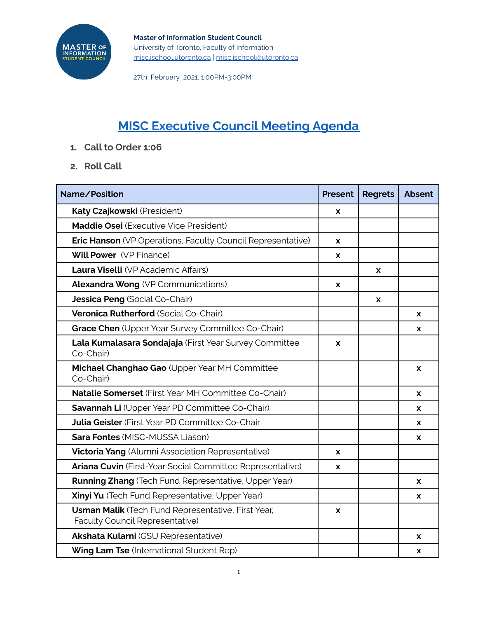

## **MISC Executive Council Meeting Agenda**

- **1. Call to Order 1:06**
- **2. Roll Call**

| Name/Position                                                                         | <b>Present</b> | <b>Regrets</b> | <b>Absent</b> |
|---------------------------------------------------------------------------------------|----------------|----------------|---------------|
| Katy Czajkowski (President)                                                           | X              |                |               |
| Maddie Osei (Executive Vice President)                                                |                |                |               |
| <b>Eric Hanson</b> (VP Operations, Faculty Council Representative)                    | X              |                |               |
| <b>Will Power</b> (VP Finance)                                                        | X              |                |               |
| Laura Viselli (VP Academic Affairs)                                                   |                | X              |               |
| <b>Alexandra Wong (VP Communications)</b>                                             | X              |                |               |
| Jessica Peng (Social Co-Chair)                                                        |                | X              |               |
| Veronica Rutherford (Social Co-Chair)                                                 |                |                | X             |
| Grace Chen (Upper Year Survey Committee Co-Chair)                                     |                |                | X             |
| Lala Kumalasara Sondajaja (First Year Survey Committee<br>Co-Chair)                   | X              |                |               |
| Michael Changhao Gao (Upper Year MH Committee<br>Co-Chair)                            |                |                | X             |
| Natalie Somerset (First Year MH Committee Co-Chair)                                   |                |                | X             |
| Savannah Li (Upper Year PD Committee Co-Chair)                                        |                |                | X             |
| <b>Julia Geisler</b> (First Year PD Committee Co-Chair                                |                |                | X             |
| <b>Sara Fontes (MISC-MUSSA Liason)</b>                                                |                |                | x             |
| <b>Victoria Yang</b> (Alumni Association Representative)                              | X              |                |               |
| Ariana Cuvin (First-Year Social Committee Representative)                             | X              |                |               |
| <b>Running Zhang</b> (Tech Fund Representative, Upper Year)                           |                |                | x             |
| Xinyi Yu (Tech Fund Representative, Upper Year)                                       |                |                | X             |
| Usman Malik (Tech Fund Representative, First Year,<br>Faculty Council Representative) | X              |                |               |
| Akshata Kularni (GSU Representative)                                                  |                |                | X             |
| Wing Lam Tse (International Student Rep)                                              |                |                | X             |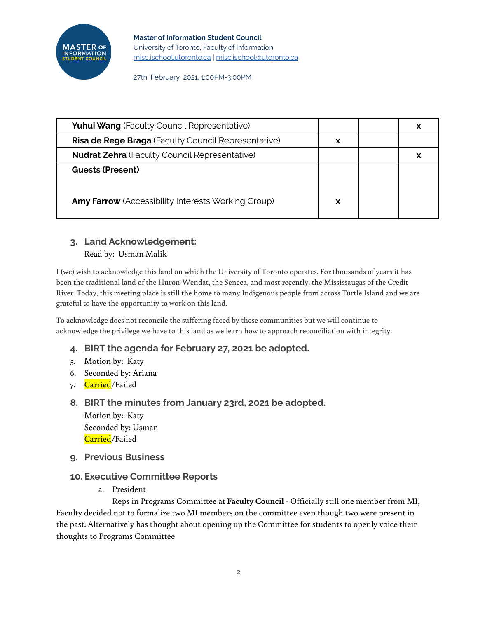

| <b>Yuhui Wang</b> (Faculty Council Representative)         |   |  |
|------------------------------------------------------------|---|--|
| <b>Risa de Rege Braga</b> (Faculty Council Representative) | x |  |
| <b>Nudrat Zehra</b> (Faculty Council Representative)       |   |  |
| <b>Guests (Present)</b>                                    |   |  |
|                                                            |   |  |
| Amy Farrow (Accessibility Interests Working Group)         | x |  |

# **3. Land Acknowledgement:**

Read by: Usman Malik

I (we) wish to acknowledge this land on which the University of Toronto operates. For thousands of years it has been the traditional land of the Huron-Wendat, the Seneca, and most recently, the Mississaugas of the Credit River. Today, this meeting place is still the home to many Indigenous people from across Turtle Island and we are grateful to have the opportunity to work on this land.

To acknowledge does not reconcile the suffering faced by these communities but we will continue to acknowledge the privilege we have to this land as we learn how to approach reconciliation with integrity.

- **4. BIRT the agenda for February 27, 2021 be adopted.**
- 5. Motion by: Katy
- 6. Seconded by: Ariana
- 7. <mark>Carried</mark>/Failed
- **8. BIRT the minutes from January 23rd, 2021 be adopted.**

Motion by: Katy Seconded by: Usman Carried/Failed

**9. Previous Business**

#### **10. Executive Committee Reports**

a. President

Reps in Programs Committee at **Faculty Council** - Officially still one member from MI, Faculty decided not to formalize two MI members on the committee even though two were present in the past. Alternatively has thought about opening up the Committee for students to openly voice their thoughts to Programs Committee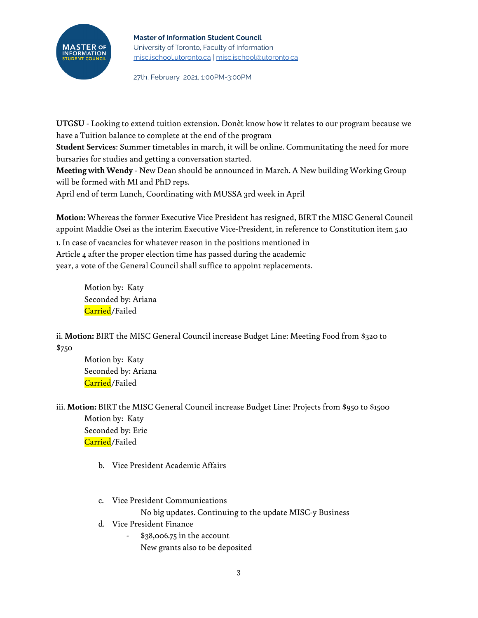#### **Master of Information Student Council**



University of Toronto, Faculty of Information [misc.ischool.utoronto.ca](http://misc.ischool.utoronto.ca) | [misc.ischool@utoronto.ca](mailto:misc.ischool@utoronto.ca)

27th, February 2021, 1:00PM-3:00PM

**UTGSU** - Looking to extend tuition extension. Donèt know how it relates to our program because we have a Tuition balance to complete at the end of the program

**Student Services**: Summer timetables in march, it will be online. Communitating the need for more bursaries for studies and getting a conversation started.

**Meeting with Wendy** - New Dean should be announced in March. A New building Working Group will be formed with MI and PhD reps.

April end of term Lunch, Coordinating with MUSSA 3rd week in April

**Motion:** Whereas the former Executive Vice President has resigned, BIRT the MISC General Council appoint Maddie Osei as the interim Executive Vice-President, in reference to Constitution item 5.10

1. In case of vacancies for whatever reason in the positions mentioned in Article 4 after the proper election time has passed during the academic year, a vote of the General Council shall suffice to appoint replacements.

> Motion by: Katy Seconded by: Ariana Carried/Failed

ii. **Motion:** BIRT the MISC General Council increase Budget Line: Meeting Food from \$320 to \$750

Motion by: Katy Seconded by: Ariana Carried/Failed

iii. **Motion:** BIRT the MISC General Council increase Budget Line: Projects from \$950 to \$1500 Motion by: Katy Seconded by: Eric Carried/Failed

- b. Vice President Academic Affairs
- c. Vice President Communications

No big updates. Continuing to the update MISC-y Business

- d. Vice President Finance
	- \$38,006.75 in the account
		- New grants also to be deposited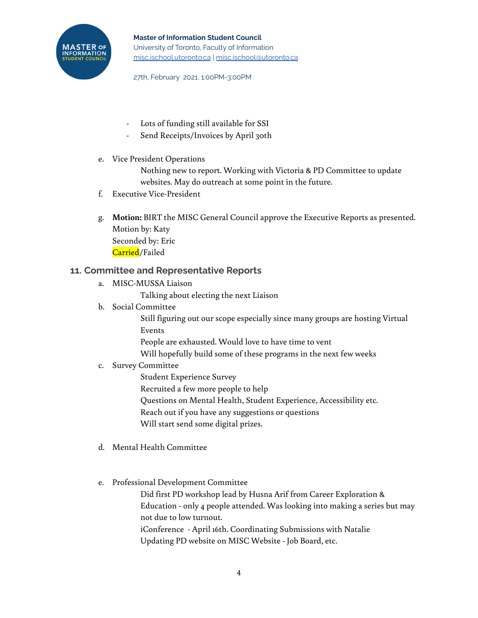

- Lots of funding still available for SSI
- Send Receipts/Invoices by April 30th
- e. Vice President Operations

Nothing new to report. Working with Victoria & PD Committee to update websites. May do outreach at some point in the future.

- f. Executive Vice-President
- g. **Motion:** BIRT the MISC General Council approve the Executive Reports as presented. Motion by: Katy Seconded by: Eric Carried/Failed

#### **11. Committee and Representative Reports**

- a. MISC-MUSSA Liaison
	- Talking about electing the next Liaison
- b. Social Committee

Still figuring out our scope especially since many groups are hosting Virtual Events

People are exhausted. Would love to have time to vent

Will hopefully build some of these programs in the next few weeks

#### c. Survey Committee

Student Experience Survey

Recruited a few more people to help

Questions on Mental Health, Student Experience, Accessibility etc.

Reach out if you have any suggestions or questions

Will start send some digital prizes.

- d. Mental Health Committee
- e. Professional Development Committee

Did first PD workshop lead by Husna Arif from Career Exploration & Education - only 4 people attended. Was looking into making a series but may not due to low turnout. iConference - April 16th. Coordinating Submissions with Natalie

Updating PD website on MISC Website - Job Board, etc.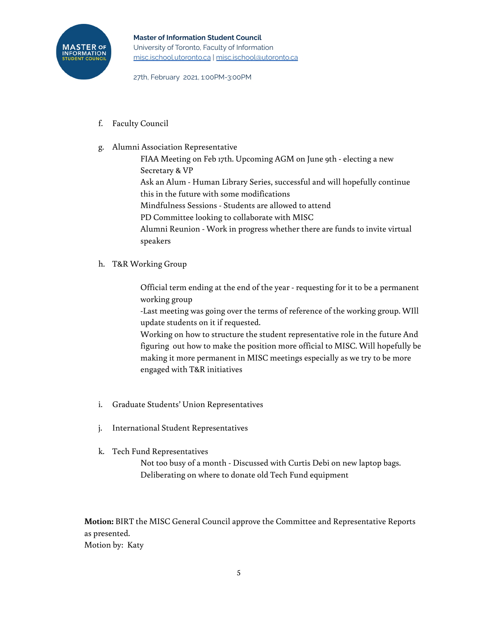

f. Faculty Council

#### g. Alumni Association Representative

FIAA Meeting on Feb 17th. Upcoming AGM on June 9th - electing a new Secretary & VP Ask an Alum - Human Library Series, successful and will hopefully continue this in the future with some modifications Mindfulness Sessions - Students are allowed to attend PD Committee looking to collaborate with MISC Alumni Reunion - Work in progress whether there are funds to invite virtual

speakers

h. T&R Working Group

Official term ending at the end of the year - requesting for it to be a permanent working group

-Last meeting was going over the terms of reference of the working group. WIll update students on it if requested.

Working on how to structure the student representative role in the future And figuring out how to make the position more official to MISC. Will hopefully be making it more permanent in MISC meetings especially as we try to be more engaged with T&R initiatives

- i. Graduate Students' Union Representatives
- j. International Student Representatives
- k. Tech Fund Representatives

Not too busy of a month - Discussed with Curtis Debi on new laptop bags. Deliberating on where to donate old Tech Fund equipment

**Motion:** BIRT the MISC General Council approve the Committee and Representative Reports as presented. Motion by: Katy

5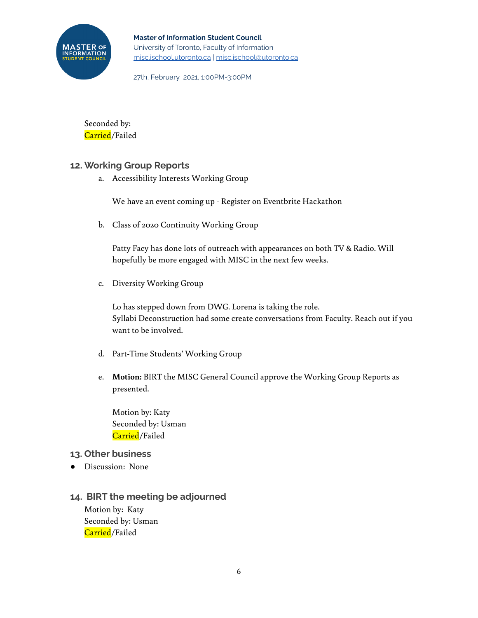

**Master of Information Student Council** University of Toronto, Faculty of Information [misc.ischool.utoronto.ca](http://misc.ischool.utoronto.ca) | [misc.ischool@utoronto.ca](mailto:misc.ischool@utoronto.ca)

27th, February 2021, 1:00PM-3:00PM

Seconded by: Carried/Failed

### **12. Working Group Reports**

a. Accessibility Interests Working Group

We have an event coming up - Register on Eventbrite Hackathon

b. Class of 2020 Continuity Working Group

Patty Facy has done lots of outreach with appearances on both TV & Radio. Will hopefully be more engaged with MISC in the next few weeks.

c. Diversity Working Group

Lo has stepped down from DWG. Lorena is taking the role. Syllabi Deconstruction had some create conversations from Faculty. Reach out if you want to be involved.

- d. Part-Time Students' Working Group
- e. **Motion:** BIRT the MISC General Council approve the Working Group Reports as presented.

Motion by: Katy Seconded by: Usman Carried/Failed

#### **13. Other business**

● Discussion: None

### **14. BIRT the meeting be adjourned**

Motion by: Katy Seconded by: Usman Carried/Failed